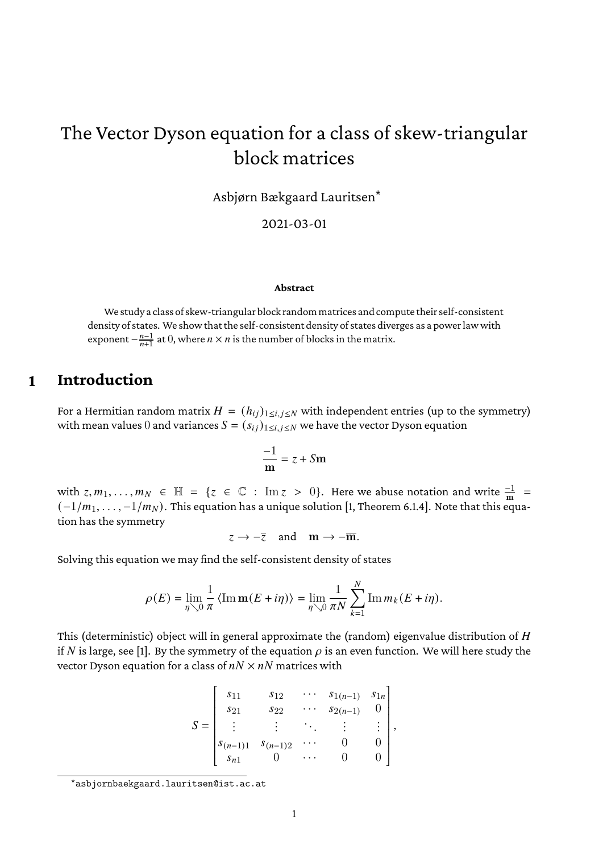# The Vector Dyson equation for a class of skew-triangular block matrices

Asbjørn Bækgaard Lauritsen\*

2021-03-01

#### **Abstract**

We study a class of skew-triangular block randommatrices and compute their self-consistent density of states. We show that the self-consistent density of states diverges as a power law with exponent  $-\frac{n-1}{n+1}$  $\frac{n-1}{n+1}$  at 0, where  $n \times n$  is the number of blocks in the matrix.

### **1 Introduction**

For a Hermitian random matrix  $H = (h_{ij})_{1 \le i,j \le N}$  with independent entries (up to the symmetry) with mean values 0 and variances  $S = (s_{ij})_{1 \le i,j \le N}$  we have the vector Dyson equation

$$
\frac{-1}{m} = z + Sm
$$

with  $z, m_1, \ldots, m_N \in \mathbb{H} = \{z \in \mathbb{C} : \text{Im } z > 0\}$ . Here we abuse notation and write  $\frac{-1}{m}$  $(-1/m_1, \ldots, -1/m_N)$ . This equation has a unique solution [\[1,](#page-6-0) Theorem 6.1.4]. Note that this equation has the symmetry

 $z \rightarrow -\overline{z}$  and  $\mathbf{m} \rightarrow -\overline{\mathbf{m}}$ .

Solving this equation we may find the self-consistent density of states

$$
\rho(E) = \lim_{\eta \searrow 0} \frac{1}{\pi} \langle \operatorname{Im} \mathbf{m}(E + i\eta) \rangle = \lim_{\eta \searrow 0} \frac{1}{\pi N} \sum_{k=1}^{N} \operatorname{Im} m_k (E + i\eta).
$$

This (deterministic) object will in general approximate the (random) eigenvalue distribution of  $H$ if N is large, see [\[1\]](#page-6-0). By the symmetry of the equation  $\rho$  is an even function. We will here study the vector Dyson equation for a class of  $nN \times nN$  matrices with

$$
S = \begin{bmatrix} s_{11} & s_{12} & \cdots & s_{1(n-1)} & s_{1n} \\ s_{21} & s_{22} & \cdots & s_{2(n-1)} & 0 \\ \vdots & \vdots & \ddots & \vdots & \vdots \\ s_{(n-1)1} & s_{(n-1)2} & \cdots & 0 & 0 \\ s_{n1} & 0 & \cdots & 0 & 0 \end{bmatrix},
$$

<sup>\*</sup><asbjornbaekgaard.lauritsen@ist.ac.at>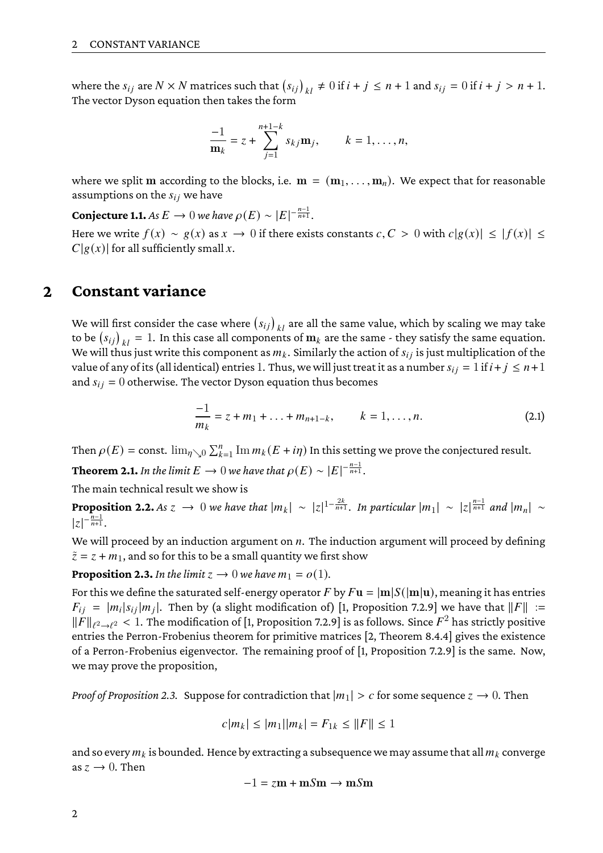where the  $s_{ij}$  are  $N \times N$  matrices such that  $(s_{ij})_{kl} \neq 0$  if  $i + j \leq n + 1$  and  $s_{ij} = 0$  if  $i + j > n + 1$ . The vector Dyson equation then takes the form

$$
\frac{-1}{m_k} = z + \sum_{j=1}^{n+1-k} s_{kj} m_j, \qquad k = 1, ..., n,
$$

where we split m according to the blocks, i.e.  $\mathbf{m} = (\mathbf{m}_1, \dots, \mathbf{m}_n)$ . We expect that for reasonable assumptions on the  $s_{ij}$  we have

<span id="page-1-3"></span>**Conjecture 1.1.** *As*  $E \to 0$  *we have*  $\rho(E) \sim |E|^{-\frac{n-1}{n+1}}$ .

Here we write  $f(x) \sim g(x)$  as  $x \to 0$  if there exists constants  $c, C > 0$  with  $c|g(x)| \leq |f(x)| \leq$  $C|g(x)|$  for all sufficiently small x.

### **2 Constant variance**

We will first consider the case where  $\left( s_{ij} \right)_{kl}$  are all the same value, which by scaling we may take to be  $(s_{ij})_{kl} = 1$ . In this case all components of  $m_k$  are the same - they satisfy the same equation. We will thus just write this component as  $m_k$ . Similarly the action of  $s_{ij}$  is just multiplication of the value of any of its (all identical) entries 1. Thus, we will just treat it as a number  $s_{ij} = 1$  if  $i + j \le n + 1$ and  $s_{ij} = 0$  otherwise. The vector Dyson equation thus becomes

<span id="page-1-2"></span>
$$
\frac{-1}{m_k} = z + m_1 + \ldots + m_{n+1-k}, \qquad k = 1, \ldots, n.
$$
 (2.1)

Then  $\rho(E) = \text{const.} \, \lim_{\eta \searrow 0} \sum_{k=1}^n \text{Im} \, m_k(E+i\eta)$  In this setting we prove the conjectured result.

**Theorem 2.1.** In the limit  $E \to 0$  we have that  $\rho(E) \sim |E|^{-\frac{n-1}{n+1}}$ .

The main technical result we show is

<span id="page-1-1"></span>**Proposition 2.2.** As  $z \to 0$  we have that  $|m_k| \sim |z|^{1-\frac{2k}{n+1}}$ . In particular  $|m_1| \sim |z|^{\frac{n-1}{n+1}}$  and  $|m_n| \sim$  $|z|^{-\frac{n-1}{n+1}}$ .

We will proceed by an induction argument on  $n$ . The induction argument will proceed by defining  $\tilde{z} = z + m_1$ , and so for this to be a small quantity we first show

<span id="page-1-0"></span>**Proposition 2.3.** In the limit  $z \to 0$  we have  $m_1 = o(1)$ .

For this we define the saturated self-energy operator F by  $Fu = |m|S(|m|u)$ , meaning it has entries  $F_{ij} = |m_i|s_{ij}|m_j|$ . Then by (a slight modification of) [\[1,](#page-6-0) Proposition 7.2.9] we have that  $||F|| :=$  $\|\check F\|_{\ell^2\to\ell^2} < 1.$  The modification of [\[1,](#page-6-0) Proposition 7.2.9] is as follows. Since  $F^2$  has strictly positive entries the Perron-Frobenius theorem for primitive matrices [\[2,](#page-6-1) Theorem 8.4.4] gives the existence of a Perron-Frobenius eigenvector. The remaining proof of [\[1,](#page-6-0) Proposition 7.2.9] is the same. Now, we may prove the proposition,

*Proof of Proposition* [2.3.](#page-1-0) Suppose for contradiction that  $|m_1| > c$  for some sequence  $\zeta \to 0$ . Then

$$
c|m_k| \le |m_1||m_k| = F_{1k} \le ||F|| \le 1
$$

and so every  $m_k$  is bounded. Hence by extracting a subsequence we may assume that all  $m_k$  converge as  $z \to 0$ . Then

$$
-1 = zm + mSm \rightarrow mSm
$$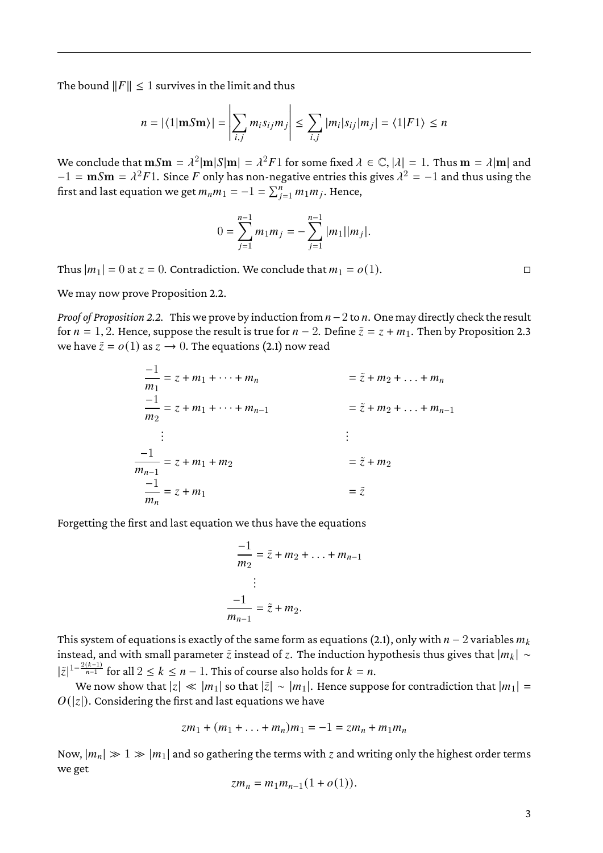The bound  $||F|| \leq 1$  survives in the limit and thus

$$
n = |\langle 1 | \mathbf{m} S \mathbf{m} \rangle| = \left| \sum_{i,j} m_i s_{ij} m_j \right| \le \sum_{i,j} |m_i| s_{ij} |m_j| = \langle 1 | F1 \rangle \le n
$$

We conclude that  $\textbf{m} S\textbf{m} = \lambda^2 |\textbf{m}|S|\textbf{m}| = \lambda^2 F 1$  for some fixed  $\lambda \in \mathbb{C}, |\lambda| = 1$ . Thus  $\textbf{m} = \lambda |\textbf{m}|$  and  $-1 = \textbf{m} S \textbf{m} = \lambda^2 F 1$ . Since  $F$  only has non-negative entries this gives  $\lambda^2 = -1$  and thus using the first and last equation we get  $m_n m_1 = -1 = \sum_{j=1}^n m_1 m_j$ . Hence,

$$
0 = \sum_{j=1}^{n-1} m_1 m_j = -\sum_{j=1}^{n-1} |m_1||m_j|.
$$

Thus  $|m_1| = 0$  at  $z = 0$ . Contradiction. We conclude that  $m_1 = o(1)$ .

We may now prove Proposition [2.2.](#page-1-1)

*Proof of Proposition* [2.2.](#page-1-1) This we prove by induction from  $n-2$  to  $n$ . One may directly check the result for  $n = 1, 2$ . Hence, suppose the result is true for  $n - 2$ . Define  $\tilde{z} = z + m_1$ . Then by Proposition [2.3](#page-1-0) we have  $\tilde{z} = o(1)$  as  $z \to 0$ . The equations [\(2.1\)](#page-1-2) now read

$$
\frac{-1}{m_1} = z + m_1 + \dots + m_n = \tilde{z} + m_2 + \dots + m_n
$$
  
\n
$$
\frac{-1}{m_2} = z + m_1 + \dots + m_{n-1} = \tilde{z} + m_2 + \dots + m_{n-1}
$$
  
\n
$$
\vdots \qquad \qquad \vdots
$$
  
\n
$$
\frac{-1}{m_{n-1}} = z + m_1 + m_2 = \tilde{z} + m_2
$$
  
\n
$$
\frac{-1}{m_n} = z + m_1
$$
  
\n
$$
= \tilde{z}
$$

Forgetting the first and last equation we thus have the equations

$$
\frac{-1}{m_2} = \tilde{z} + m_2 + \dots + m_{n-1}
$$

$$
\vdots
$$

$$
\frac{-1}{m_{n-1}} = \tilde{z} + m_2.
$$

This system of equations is exactly of the same form as equations [\(2.1\)](#page-1-2), only with  $n-2$  variables  $m_k$ instead, and with small parameter  $\tilde{z}$  instead of  $z$ . The induction hypothesis thus gives that  $|m_k| \sim$  $|\tilde{z}|^{1-\frac{2(k-1)}{n-1}}$  for all  $2 \leq k \leq n-1$ . This of course also holds for  $k = n$ .

We now show that  $|z| \ll |m_1|$  so that  $|\tilde{z}| \sim |m_1|$ . Hence suppose for contradiction that  $|m_1| =$  $O(|z|)$ . Considering the first and last equations we have

$$
zm_1 + (m_1 + \ldots + m_n)m_1 = -1 = zm_n + m_1m_n
$$

Now,  $|m_n| \gg 1 \gg |m_1|$  and so gathering the terms with z and writing only the highest order terms we get

$$
zm_n = m_1 m_{n-1} (1 + o(1)).
$$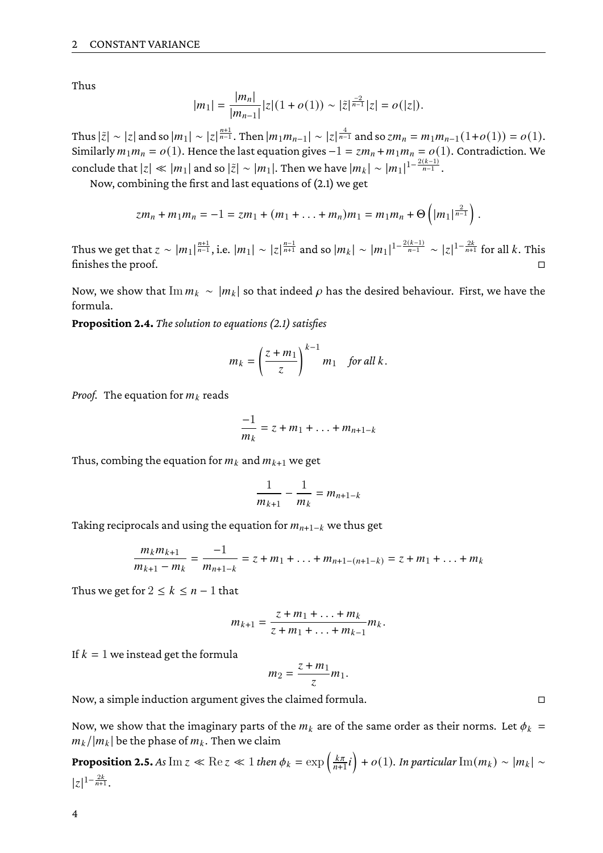Thus

$$
|m_1| = \frac{|m_n|}{|m_{n-1}|} |z| (1+o(1)) \sim |\tilde{z}|^{\frac{-2}{n-1}} |z| = o(|z|).
$$

Thus  $|\tilde{z}|\sim |z|$  and so  $|m_1|\sim |z|^{\frac{n+1}{n-1}}.$  Then  $|m_1m_{n-1}|\sim |z|^{\frac{4}{n-1}}$  and so  $zm_n=m_1m_{n-1}(1+o(1))=o(1).$ Similarly  $m_1m_n = o(1)$ . Hence the last equation gives  $-1 = zm_n + m_1m_n = o(1)$ . Contradiction. We conclude that  $|z| \ll |m_1|$  and so  $|\tilde{z}| \sim |m_1|$ . Then we have  $|m_k| \sim |m_1|^{1-\frac{2(k-1)}{n-1}}$ .

Now, combining the first and last equations of [\(2.1\)](#page-1-2) we get

$$
zm_n + m_1m_n = -1 = zm_1 + (m_1 + \ldots + m_n)m_1 = m_1m_n + \Theta\left(|m_1|^{\frac{2}{n-1}}\right).
$$

Thus we get that  $z\sim |m_1|^{\frac{n+1}{n-1}}$ , i.e.  $|m_1|\sim |z|^{\frac{n-1}{n+1}}$  and so  $|m_k|\sim |m_1|^{1-\frac{2(k-1)}{n-1}}\sim |z|^{1-\frac{2k}{n+1}}$  for all  $k.$  This finishes the proof.

Now, we show that  $\text{Im} m_k \sim |m_k|$  so that indeed  $\rho$  has the desired behaviour. First, we have the formula.

<span id="page-3-0"></span>**Proposition 2.4.** *The solution to equations [\(2.1\)](#page-1-2) satisfies*

$$
m_k = \left(\frac{z+m_1}{z}\right)^{k-1} m_1 \quad \text{for all } k.
$$

*Proof.* The equation for  $m_k$  reads

$$
\frac{-1}{m_k} = z + m_1 + \ldots + m_{n+1-k}
$$

Thus, combing the equation for  $m_k$  and  $m_{k+1}$  we get

$$
\frac{1}{m_{k+1}} - \frac{1}{m_k} = m_{n+1-k}
$$

Taking reciprocals and using the equation for  $m_{n+1-k}$  we thus get

$$
\frac{m_k m_{k+1}}{m_{k+1} - m_k} = \frac{-1}{m_{n+1-k}} = z + m_1 + \ldots + m_{n+1-(n+1-k)} = z + m_1 + \ldots + m_k
$$

Thus we get for  $2 \leq k \leq n-1$  that

$$
m_{k+1} = \frac{z + m_1 + \ldots + m_k}{z + m_1 + \ldots + m_{k-1}} m_k.
$$

If  $k = 1$  we instead get the formula

$$
m_2=\frac{z+m_1}{z}m_1.
$$

Now, a simple induction argument gives the claimed formula.

Now, we show that the imaginary parts of the  $m_k$  are of the same order as their norms. Let  $\phi_k$  =  $m_k/|m_k|$  be the phase of  $m_k$ . Then we claim

<span id="page-3-1"></span>**Proposition 2.5.** As  $\text{Im } z \ll \text{Re } z \ll 1$  then  $\phi_k = \exp\left(\frac{k\pi}{n+1}\right)$  $\left(\frac{k\pi}{n+1}i\right) + o(1)$ . In particular  $\text{Im}(m_k) \sim |m_k| \sim$  $|z|^{1-\frac{2k}{n+1}}$ .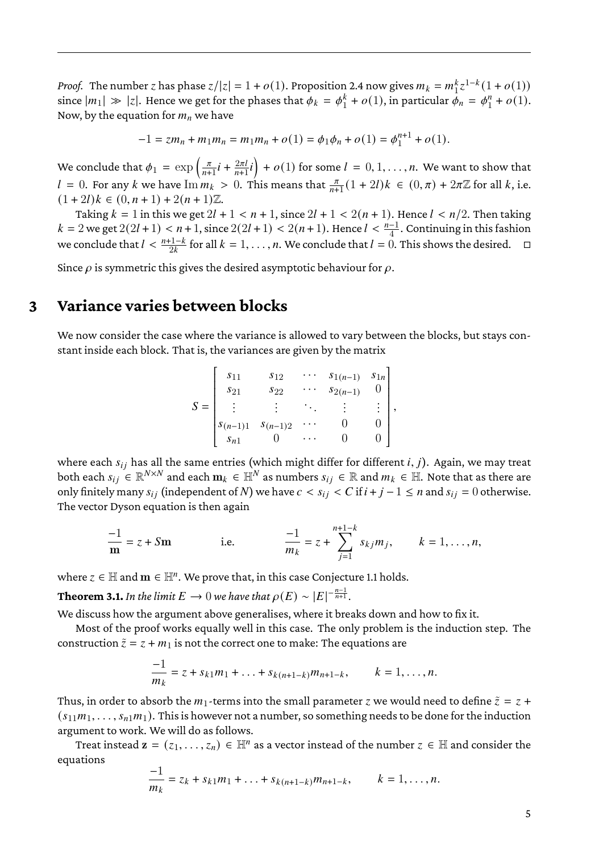*Proof.* The number  $z$  has phase  $z/|z| = 1 + o(1)$ . Proposition [2.4](#page-3-0) now gives  $m_k = m_1^k$  ${}_{1}^{k}z^{1-k}(1+o(1))$ since  $|m_1| \gg |z|$ . Hence we get for the phases that  $\phi_k = \phi_1^k$  $\frac{k}{1} + o(1)$ , in particular  $\phi_n = \phi_1^n$  $n_1^n + o(1)$ . Now, by the equation for  $m_n$  we have

$$
-1 = zm_n + m_1m_n = m_1m_n + o(1) = \phi_1\phi_n + o(1) = \phi_1^{n+1} + o(1).
$$

We conclude that  $\phi_1 = \exp\left(\frac{\pi}{n+1}\right)$  $\frac{\pi}{n+1}i + \frac{2\pi l}{n+1}$  $\left(\frac{2\pi l}{n+1}i\right) + o(1)$  for some  $l = 0, 1, \ldots, n$ . We want to show that  $l = 0$ . For any k we have  $\lim_{k \to \infty} n_k > 0$ . This means that  $\frac{\pi}{n+1}(1+2l)k \in (0,\pi) + 2\pi \mathbb{Z}$  for all k, i.e.  $(1+2l)k \in (0, n+1) + 2(n+1)\mathbb{Z}$ .

Taking  $k = 1$  in this we get  $2l + 1 < n + 1$ , since  $2l + 1 < 2(n + 1)$ . Hence  $l < n/2$ . Then taking  $k = 2$  we get  $2(2l + 1) < n + 1$ , since  $2(2l + 1) < 2(n + 1)$ . Hence  $l < \frac{n-1}{4}$ . Continuing in this fashion we conclude that  $l < \frac{n+1-k}{2k}$  for all  $k = 1, ..., n$ . We conclude that  $l = 0$ . This shows the desired.

Since  $\rho$  is symmetric this gives the desired asymptotic behaviour for  $\rho$ .

# **3 Variance varies between blocks**

We now consider the case where the variance is allowed to vary between the blocks, but stays constant inside each block. That is, the variances are given by the matrix

| $S =$ | $s_{11}$<br>$s_{21}$<br>$S(n-1)1$ | $s_{12}$<br>$s_{22}$<br>$S(n-1)2$ | $S_{1(n-1)}$<br>$S_{2(n-1)}$ | $S_{1n}$<br>$\bullet$ |  |
|-------|-----------------------------------|-----------------------------------|------------------------------|-----------------------|--|
|       | $S_{n1}$                          |                                   |                              |                       |  |
|       |                                   |                                   |                              |                       |  |

e de la componentación de la componentación de la componentación de la componentación de la componentación de<br>En el componentación de la componentación de la componentación de la componentación de la componentación de la where each  $s_{ij}$  has all the same entries (which might differ for different  $i, j$ ). Again, we may treat both each  $s_{ij} \in \mathbb{R}^{N \times N}$  and each  $\mathbf{m}_k \in \mathbb{H}^N$  as numbers  $s_{ij} \in \mathbb{R}$  and  $m_k \in \mathbb{H}$ . Note that as there are only finitely many  $s_{ij}$  (independent of N) we have  $c < s_{ij} < C$  if  $i + j - 1 \le n$  and  $s_{ij} = 0$  otherwise. The vector Dyson equation is then again

$$
\frac{-1}{m} = z + Sm
$$
 i.e. 
$$
\frac{-1}{m_k} = z + \sum_{j=1}^{n+1-k} s_{kj} m_j, \qquad k = 1, ..., n,
$$

where  $z \in \mathbb{H}$  and  $\mathbf{m} \in \mathbb{H}^n$ . We prove that, in this case Conjecture [1.1](#page-1-3) holds.

**Theorem 3.1.** In the limit  $E \to 0$  we have that  $\rho(E) \sim |E|^{-\frac{n-1}{n+1}}$ .

We discuss how the argument above generalises, where it breaks down and how to fix it.

Most of the proof works equally well in this case. The only problem is the induction step. The construction  $\tilde{z} = z + m_1$  is not the correct one to make: The equations are

$$
\frac{-1}{m_k} = z + s_{k1}m_1 + \ldots + s_{k(n+1-k)}m_{n+1-k}, \qquad k = 1, \ldots, n.
$$

Thus, in order to absorb the  $m_1$ -terms into the small parameter *z* we would need to define  $\tilde{z} = z + z$  $(s_{11}m_1, \ldots, s_{n1}m_1)$ . This is however not a number, so something needs to be done for the induction argument to work. We will do as follows.

Treat instead  $\mathbf{z} = (z_1, \ldots, z_n) \in \mathbb{H}^n$  as a vector instead of the number  $z \in \mathbb{H}$  and consider the equations

$$
\frac{-1}{m_k} = z_k + s_{k1}m_1 + \ldots + s_{k(n+1-k)}m_{n+1-k}, \qquad k = 1, \ldots, n.
$$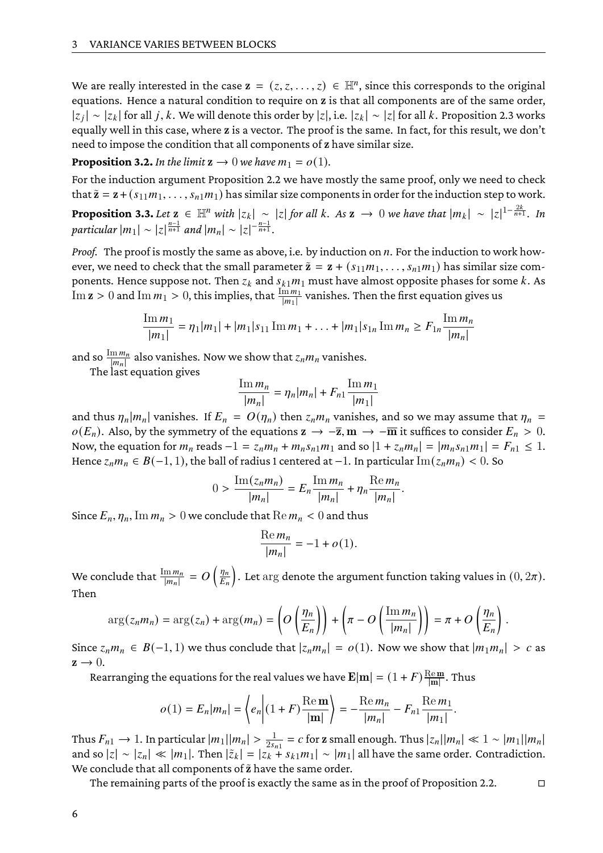We are really interested in the case  $\mathbf{z} = (z, z, \dots, z) \in \mathbb{H}^n$ , since this corresponds to the original equations. Hence a natural condition to require on z is that all components are of the same order,  $|z_j|\sim |z_k|$  for all  $j,k.$  We will denote this order by  $|z|,$  i.e.  $|z_k|\sim |z|$  for all  $k.$  Proposition [2.3](#page-1-0) works equally well in this case, where z is a vector. The proof is the same. In fact, for this result, we don't need to impose the condition that all components of z have similar size.

**Proposition 3.2.** In the limit  $z \to 0$  we have  $m_1 = o(1)$ .

For the induction argument Proposition [2.2](#page-1-1) we have mostly the same proof, only we need to check that  $\tilde{z} = z + (s_{11}m_1, \ldots, s_{n1}m_1)$  has similar size components in order for the induction step to work.

<span id="page-5-0"></span>**Proposition 3.3.** Let  $z \in \mathbb{H}^n$  with  $|z_k| \sim |z|$  for all k. As  $z \to 0$  we have that  $|m_k| \sim |z|^{1-\frac{2k}{n+1}}$ . In *particular*  $|m_1| \sim |z|^{\frac{n-1}{n+1}}$  *and*  $|m_n| \sim |z|^{-\frac{n-1}{n+1}}$ .

*Proof.* The proof is mostly the same as above, i.e. by induction on *n*. For the induction to work however, we need to check that the small parameter  $\tilde{z} = z + (s_{11}m_1, \ldots, s_{n1}m_1)$  has similar size components. Hence suppose not. Then  $z_k$  and  $s_{k1}m_1$  must have almost opposite phases for some  $k$ . As Im  $z > 0$  and Im  $m_1 > 0$ , this implies, that  $\frac{\lim_{m_1}}{|m_1|}$  vanishes. Then the first equation gives us

$$
\frac{\text{Im}\,m_1}{|m_1|} = \eta_1 |m_1| + |m_1| s_{11} \text{Im}\,m_1 + \ldots + |m_1| s_{1n} \text{Im}\,m_n \ge F_{1n} \frac{\text{Im}\,m_n}{|m_n|}
$$

and so  $\frac{\text{Im}m_n}{|m_n|}$  also vanishes. Now we show that  $z_n m_n$  vanishes.

The last equation gives

$$
\frac{\text{Im}\,m_n}{|m_n|} = \eta_n |m_n| + F_{n1} \frac{\text{Im}\,m_1}{|m_1|}
$$

and thus  $\eta_n |m_n|$  vanishes. If  $E_n = O(\eta_n)$  then  $z_n m_n$  vanishes, and so we may assume that  $\eta_n =$  $o(E_n)$ . Also, by the symmetry of the equations  $z \to -\overline{z}$ ,  $m \to -\overline{m}$  it suffices to consider  $E_n > 0$ . Now, the equation for  $m_n$  reads  $-1 = z_n m_n + m_n s_{n1} m_1$  and so  $|1 + z_n m_n| = |m_n s_{n1} m_1| = F_{n1} \le 1$ . Hence  $z_n m_n \in B(-1, 1)$ , the ball of radius 1 centered at -1. In particular  $\text{Im}(z_n m_n)$  < 0. So

$$
0 > \frac{\operatorname{Im}(z_n m_n)}{|m_n|} = E_n \frac{\operatorname{Im} m_n}{|m_n|} + \eta_n \frac{\operatorname{Re} m_n}{|m_n|}.
$$

Since  $E_n$ ,  $\eta_n$ , Im  $m_n > 0$  we conclude that  $\text{Re } m_n < 0$  and thus

$$
\frac{\text{Re}\,m_n}{|m_n|} = -1 + o(1).
$$

We conclude that  $\frac{\text{Im}\,m_n}{|m_n|}=O\left(\frac{\eta_n}{E_n}\right)$  $\frac{\eta_n}{E_n}\Big).$  Let  $\arg$  denote the argument function taking values in  $(0,2\pi).$ Then

$$
\arg(z_n m_n) = \arg(z_n) + \arg(m_n) = \left( O\left(\frac{\eta_n}{E_n}\right) \right) + \left( \pi - O\left(\frac{\text{Im } m_n}{|m_n|}\right) \right) = \pi + O\left(\frac{\eta_n}{E_n}\right)
$$

.

Since  $z_n m_n \in B(-1, 1)$  we thus conclude that  $|z_n m_n| = o(1)$ . Now we show that  $|m_1 m_n| > c$  as  $z \rightarrow 0$ .

Rearranging the equations for the real values we have  ${\bf E} |{\bf m}| = (1+ F) \frac{{\rm Re}\,{\bf m}}{|{\bf m}|}$  $\frac{\text{te m}}{|\text{m}|}$ . Thus

$$
o(1) = E_n |m_n| = \left\langle e_n \middle| (1 + F) \frac{\text{Re } \mathbf{m}}{|\mathbf{m}|} \right\rangle = -\frac{\text{Re } m_n}{|m_n|} - F_{n1} \frac{\text{Re } m_1}{|m_1|}.
$$

Thus  $F_{n1} \to 1$ . In particular  $|m_1||m_n| > \frac{1}{2s_{n1}} = c$  for z small enough. Thus  $|z_n||m_n| \ll 1 \sim |m_1||m_n|$ and so  $|z| \sim |z_n| \ll |m_1|$ . Then  $|\tilde{z}_k| = |z_k + s_{k1}m_1| \sim |m_1|$  all have the same order. Contradiction. We conclude that all components of  $\tilde{z}$  have the same order.

The remaining parts of the proof is exactly the same as in the proof of Proposition [2.2.](#page-1-1)  $\Box$